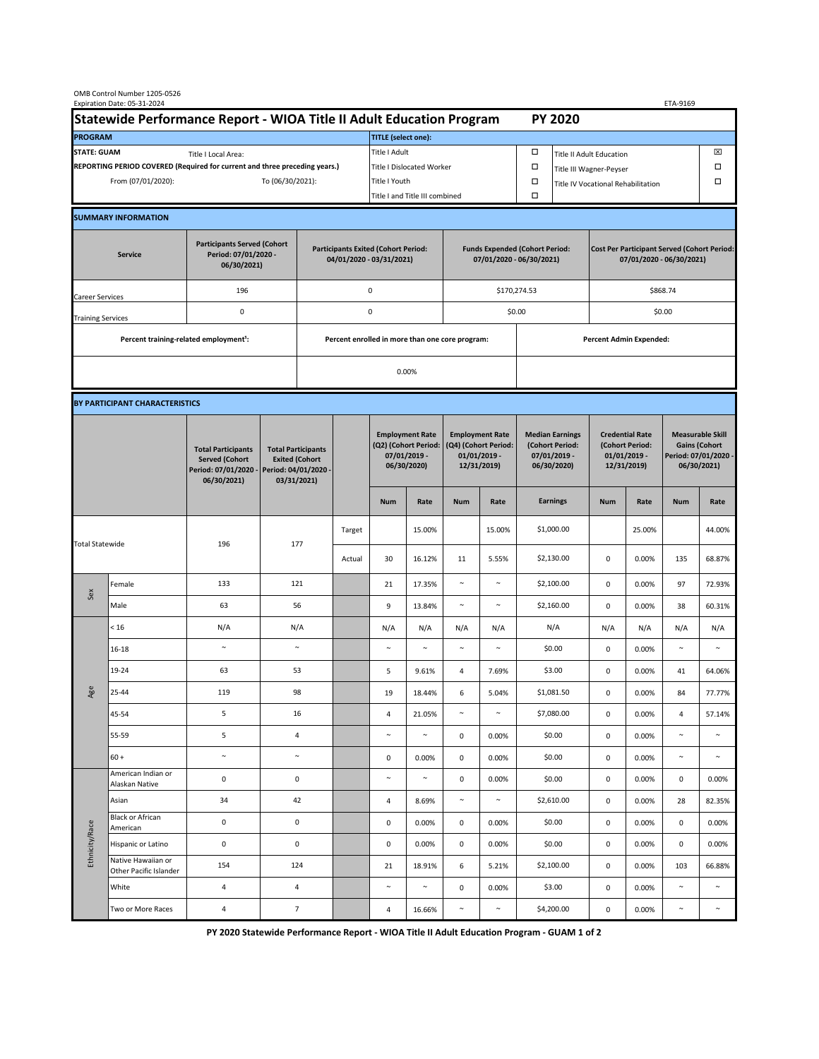| OMB Control Number 1205-0526<br>Expiration Date: 05-31-2024                                                                                                       |                                                                      |                                                                                           |                                                                                           |                |                                                                                                      |                                                                               |                                                                   |                                                                                 |                                 |                                                                                                       | ETA-9169                                                                       |                                                                            |        |                                                                                        |           |  |
|-------------------------------------------------------------------------------------------------------------------------------------------------------------------|----------------------------------------------------------------------|-------------------------------------------------------------------------------------------|-------------------------------------------------------------------------------------------|----------------|------------------------------------------------------------------------------------------------------|-------------------------------------------------------------------------------|-------------------------------------------------------------------|---------------------------------------------------------------------------------|---------------------------------|-------------------------------------------------------------------------------------------------------|--------------------------------------------------------------------------------|----------------------------------------------------------------------------|--------|----------------------------------------------------------------------------------------|-----------|--|
|                                                                                                                                                                   | Statewide Performance Report - WIOA Title II Adult Education Program |                                                                                           |                                                                                           |                |                                                                                                      |                                                                               |                                                                   |                                                                                 |                                 |                                                                                                       | <b>PY 2020</b>                                                                 |                                                                            |        |                                                                                        |           |  |
| <b>PROGRAM</b>                                                                                                                                                    |                                                                      |                                                                                           |                                                                                           |                |                                                                                                      | <b>TITLE</b> (select one):                                                    |                                                                   |                                                                                 |                                 |                                                                                                       |                                                                                |                                                                            |        |                                                                                        |           |  |
| <b>STATE: GUAM</b><br>Title I Local Area:<br>REPORTING PERIOD COVERED (Required for current and three preceding years.)<br>From (07/01/2020):<br>To (06/30/2021): |                                                                      |                                                                                           |                                                                                           |                | Title I Adult<br><b>Title I Dislocated Worker</b><br>Title I Youth<br>Title I and Title III combined |                                                                               |                                                                   |                                                                                 | □<br>$\Box$<br>$\Box$<br>$\Box$ | ⊠<br><b>Title II Adult Education</b><br>Title III Wagner-Peyser<br>Title IV Vocational Rehabilitation |                                                                                |                                                                            |        |                                                                                        |           |  |
|                                                                                                                                                                   |                                                                      |                                                                                           |                                                                                           |                |                                                                                                      |                                                                               |                                                                   |                                                                                 |                                 |                                                                                                       |                                                                                |                                                                            |        |                                                                                        |           |  |
|                                                                                                                                                                   | <b>SUMMARY INFORMATION</b>                                           |                                                                                           |                                                                                           |                |                                                                                                      |                                                                               |                                                                   |                                                                                 |                                 |                                                                                                       |                                                                                |                                                                            |        |                                                                                        |           |  |
| <b>Participants Served (Cohort</b><br>Period: 07/01/2020 -<br><b>Service</b><br>06/30/2021)                                                                       |                                                                      |                                                                                           | <b>Participants Exited (Cohort Period:</b><br>04/01/2020 - 03/31/2021)                    |                |                                                                                                      |                                                                               | <b>Funds Expended (Cohort Period:</b><br>07/01/2020 - 06/30/2021) |                                                                                 |                                 |                                                                                                       | <b>Cost Per Participant Served (Cohort Period:</b><br>07/01/2020 - 06/30/2021) |                                                                            |        |                                                                                        |           |  |
| 196<br>Career Services                                                                                                                                            |                                                                      |                                                                                           |                                                                                           |                |                                                                                                      | $\mathsf 0$                                                                   |                                                                   |                                                                                 |                                 | \$170,274.53                                                                                          |                                                                                | \$868.74                                                                   |        |                                                                                        |           |  |
| <b>Training Services</b>                                                                                                                                          |                                                                      | $\pmb{0}$                                                                                 | $\pmb{0}$                                                                                 |                |                                                                                                      |                                                                               |                                                                   |                                                                                 | \$0.00                          |                                                                                                       | \$0.00                                                                         |                                                                            |        |                                                                                        |           |  |
|                                                                                                                                                                   | Percent training-related employment <sup>1</sup> :                   |                                                                                           |                                                                                           |                | Percent enrolled in more than one core program:                                                      |                                                                               |                                                                   |                                                                                 |                                 | Percent Admin Expended:                                                                               |                                                                                |                                                                            |        |                                                                                        |           |  |
|                                                                                                                                                                   |                                                                      |                                                                                           |                                                                                           |                | 0.00%                                                                                                |                                                                               |                                                                   |                                                                                 |                                 |                                                                                                       |                                                                                |                                                                            |        |                                                                                        |           |  |
|                                                                                                                                                                   | BY PARTICIPANT CHARACTERISTICS                                       |                                                                                           |                                                                                           |                |                                                                                                      |                                                                               |                                                                   |                                                                                 |                                 |                                                                                                       |                                                                                |                                                                            |        |                                                                                        |           |  |
|                                                                                                                                                                   |                                                                      | <b>Total Participants</b><br><b>Served (Cohort</b><br>Period: 07/01/2020 -<br>06/30/2021) | <b>Total Participants</b><br><b>Exited (Cohort</b><br>Period: 04/01/2020 -<br>03/31/2021) |                |                                                                                                      | <b>Employment Rate</b><br>(Q2) (Cohort Period:<br>07/01/2019 -<br>06/30/2020) |                                                                   | <b>Employment Rate</b><br>(Q4) (Cohort Period:<br>$01/01/2019$ -<br>12/31/2019) |                                 | <b>Median Earnings</b><br>(Cohort Period:<br>$07/01/2019 -$<br>06/30/2020)                            |                                                                                | <b>Credential Rate</b><br>(Cohort Period:<br>$01/01/2019 -$<br>12/31/2019) |        | <b>Measurable Skill</b><br><b>Gains (Cohort</b><br>Period: 07/01/2020 -<br>06/30/2021) |           |  |
|                                                                                                                                                                   |                                                                      |                                                                                           |                                                                                           |                |                                                                                                      | <b>Num</b>                                                                    | Rate                                                              | <b>Num</b>                                                                      | Rate                            |                                                                                                       | <b>Earnings</b>                                                                | <b>Num</b>                                                                 | Rate   | <b>Num</b>                                                                             | Rate      |  |
| <b>Total Statewide</b>                                                                                                                                            |                                                                      | 196                                                                                       | 177                                                                                       |                | Target                                                                                               |                                                                               | 15.00%                                                            |                                                                                 | 15.00%                          |                                                                                                       | \$1,000.00                                                                     |                                                                            | 25.00% |                                                                                        | 44.00%    |  |
|                                                                                                                                                                   |                                                                      |                                                                                           |                                                                                           |                | Actual                                                                                               | 30                                                                            | 16.12%                                                            | 11                                                                              | 5.55%                           |                                                                                                       | \$2,130.00                                                                     | $\pmb{0}$                                                                  | 0.00%  | 135                                                                                    | 68.87%    |  |
| Sex                                                                                                                                                               | Female                                                               | 133                                                                                       | 121                                                                                       |                |                                                                                                      | 21                                                                            | 17.35%                                                            | $\sim$                                                                          | $\sim$                          |                                                                                                       | \$2,100.00                                                                     | $\pmb{0}$                                                                  | 0.00%  | 97                                                                                     | 72.93%    |  |
|                                                                                                                                                                   | Male                                                                 | 63                                                                                        | 56                                                                                        |                |                                                                                                      | 9                                                                             | 13.84%                                                            | $\sim$                                                                          | $\sim$                          |                                                                                                       | \$2,160.00                                                                     | 0                                                                          | 0.00%  | 38                                                                                     | 60.31%    |  |
| Age                                                                                                                                                               | < 16                                                                 | N/A                                                                                       | N/A                                                                                       |                |                                                                                                      | N/A                                                                           | N/A                                                               | N/A                                                                             | N/A                             |                                                                                                       | N/A                                                                            | N/A                                                                        | N/A    | N/A                                                                                    | N/A       |  |
|                                                                                                                                                                   | 16-18                                                                | $\sim$                                                                                    | $\sim$                                                                                    |                |                                                                                                      | $\sim$                                                                        | $\sim$                                                            | $\sim$                                                                          | $\sim$                          |                                                                                                       | \$0.00                                                                         | $\mathsf 0$                                                                | 0.00%  | $\sim$                                                                                 | $\sim$    |  |
|                                                                                                                                                                   | 19-24                                                                | 63                                                                                        | 53                                                                                        |                |                                                                                                      | 5                                                                             | 9.61%                                                             | 4                                                                               | 7.69%                           |                                                                                                       | \$3.00                                                                         | $\pmb{0}$                                                                  | 0.00%  | 41                                                                                     | 64.06%    |  |
|                                                                                                                                                                   | $25 - 44$                                                            | 119                                                                                       | 98                                                                                        |                |                                                                                                      | 19                                                                            | 18.44%                                                            |                                                                                 | 5.04%                           |                                                                                                       | \$1,081.50                                                                     | $\mathbf 0$                                                                | 0.00%  | 84                                                                                     | $11.11\%$ |  |
|                                                                                                                                                                   | 45-54                                                                | 5                                                                                         | 16                                                                                        |                |                                                                                                      | 4                                                                             | 21.05%                                                            | $\sim$                                                                          | $\sim$                          |                                                                                                       | \$7,080.00                                                                     | $\mathbf 0$                                                                | 0.00%  | 4                                                                                      | 57.14%    |  |
|                                                                                                                                                                   | 55-59                                                                | 5                                                                                         | $\overline{4}$                                                                            |                |                                                                                                      | $\sim$                                                                        | $\sim$                                                            | $\mathsf 0$                                                                     | 0.00%                           |                                                                                                       | \$0.00                                                                         | $\pmb{0}$                                                                  | 0.00%  | $\sim$                                                                                 | $\sim$    |  |
|                                                                                                                                                                   | $60 +$                                                               | $\sim$                                                                                    | $\sim$                                                                                    |                |                                                                                                      | 0                                                                             | 0.00%                                                             | 0                                                                               | 0.00%                           |                                                                                                       | \$0.00                                                                         | $\mathsf 0$                                                                | 0.00%  | $\sim$                                                                                 | $\sim$    |  |
| Ethnicity/Race                                                                                                                                                    | American Indian or<br>Alaskan Native                                 | $\pmb{0}$                                                                                 | $\mathsf 0$                                                                               |                |                                                                                                      | $\sim$                                                                        | $\sim$                                                            | $\mathsf 0$                                                                     | 0.00%                           |                                                                                                       | \$0.00                                                                         | $\pmb{0}$                                                                  | 0.00%  | 0                                                                                      | 0.00%     |  |
|                                                                                                                                                                   | Asian                                                                | 34                                                                                        | 42                                                                                        |                |                                                                                                      | 4                                                                             | 8.69%                                                             | $\sim$                                                                          | $\sim$                          |                                                                                                       | \$2,610.00                                                                     | $\pmb{0}$                                                                  | 0.00%  | 28                                                                                     | 82.35%    |  |
|                                                                                                                                                                   | <b>Black or African</b><br>American                                  | $\mathsf 0$                                                                               | 0                                                                                         |                |                                                                                                      | 0                                                                             | 0.00%                                                             | 0                                                                               | 0.00%                           |                                                                                                       | \$0.00                                                                         | $\mathbf 0$                                                                | 0.00%  | 0                                                                                      | 0.00%     |  |
|                                                                                                                                                                   | Hispanic or Latino                                                   | $\pmb{0}$                                                                                 | $\mathsf 0$                                                                               |                |                                                                                                      | 0                                                                             | 0.00%                                                             | 0                                                                               | 0.00%                           |                                                                                                       | \$0.00                                                                         | 0                                                                          | 0.00%  | 0                                                                                      | 0.00%     |  |
|                                                                                                                                                                   | Native Hawaiian or<br>Other Pacific Islander                         | 154                                                                                       | 124                                                                                       |                |                                                                                                      | 21                                                                            | 18.91%                                                            | 6                                                                               | 5.21%                           |                                                                                                       | \$2,100.00                                                                     | $\mathbf 0$                                                                | 0.00%  | 103                                                                                    | 66.88%    |  |
|                                                                                                                                                                   | White                                                                | $\overline{\mathbf{4}}$                                                                   | $\overline{4}$                                                                            |                |                                                                                                      | $\sim$                                                                        | $\sim$                                                            | $\mathsf{O}\xspace$                                                             | 0.00%                           |                                                                                                       | \$3.00                                                                         | 0                                                                          | 0.00%  | $\sim$                                                                                 | $\sim$    |  |
|                                                                                                                                                                   | Two or More Races                                                    | 4                                                                                         |                                                                                           | $\overline{7}$ |                                                                                                      | 4                                                                             | 16.66%                                                            | $\sim$                                                                          | $\sim$                          |                                                                                                       | \$4,200.00                                                                     | 0                                                                          | 0.00%  | $\sim$                                                                                 | $\sim$    |  |

 **PY 2020 Statewide Performance Report - WIOA Title II Adult Education Program - GUAM 1 of 2**